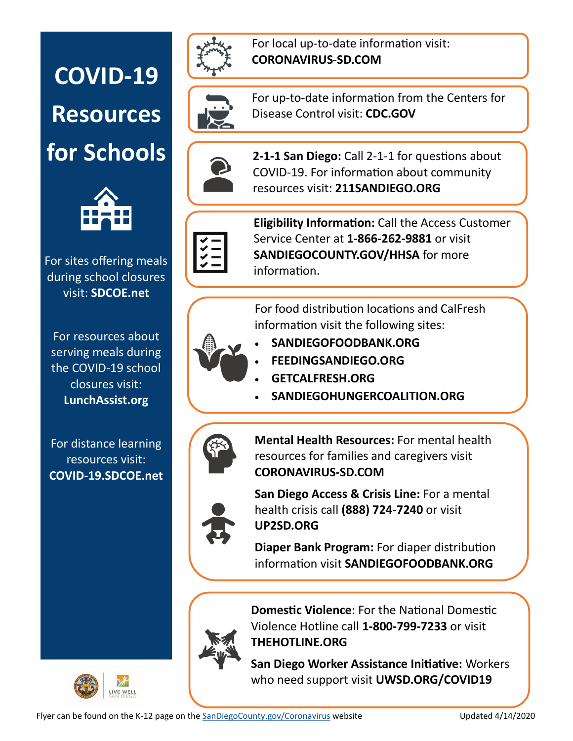## **COVID-19 Resources**



For sites offering meals during school closures visit: **SDCOE.net** 

For resources about serving meals during the COVID-19 school closures visit: **LunchAssist.org** 

For distance learning resources visit: **COVID-19.SDCOE.net**



For local up-to-date information visit: **CORONAVIRUS-SD.COM** 



For up-to-date information from the Centers for Disease Control visit: **CDC.GOV** 



**for Schools**  $\left(2 - \frac{2}{1} \right)$  **2-1-1 San Diego:** Call 2-1-1 for questions about COVID-19. For information about community resources visit: **211SANDIEGO.ORG**



**Eligibility Information:** Call the Access Customer Service Center at **1-866-262-9881** or visit **SANDIEGOCOUNTY.GOV/HHSA** for more information.

For food distribution locations and CalFresh information visit the following sites:



• **SANDIEGOFOODBANK.ORG**

- **FEEDINGSANDIEGO.ORG**
- **GETCALFRESH.ORG**
- **SANDIEGOHUNGERCOALITION.ORG**



**[Mental Health Resources:](https://www.sandiegocounty.gov/content/sdc/hhsa/programs/bhs/covid19_resources.html)** For mental health resources for families and caregivers visit **CORONAVIRUS-SD.COM** 



**[San Diego Access & Crisis Line:](https://optumsandiego.com/content/sandiego/en/access---crisis-line.html)** For a mental health crisis call **(888) 724-7240** or visit **UP2SD.ORG** 

**[Diaper Bank Program:](http://sandiegofoodbank.org/wp-content/uploads/2017/10/2020-Diaper-Bank-Program-Distribution-List-English.pdf)** For diaper distribution information visit **SANDIEGOFOODBANK.ORG**



**[Domestic Violence](https://www.sandiegocounty.gov/hhsa/programs/phs/office_violence_prevention/domestic_violence.html)**: For the National Domestic Violence Hotline call **1-800-799-7233** or visit **THEHOTLINE.ORG** 

**[San Diego Worker Assistance Initiative:](https://uwsd.org/covid19/)** Workers who need support visit **UWSD.ORG/COVID19**